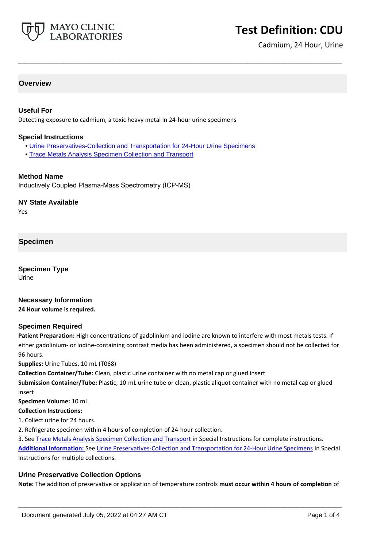

# **Test Definition: CDU**

Cadmium, 24 Hour, Urine

#### **Overview**

#### **Useful For**

Detecting exposure to cadmium, a toxic heavy metal in 24-hour urine specimens

#### **Special Instructions**

• [Urine Preservatives-Collection and Transportation for 24-Hour Urine Specimens](http://www.mayocliniclabs.com/it-mmfiles/Urine_Preservatives-Collection_and_Transportation_for_24-Hour_Urine_Specimens.pdf)

**\_\_\_\_\_\_\_\_\_\_\_\_\_\_\_\_\_\_\_\_\_\_\_\_\_\_\_\_\_\_\_\_\_\_\_\_\_\_\_\_\_\_\_\_\_\_\_\_\_\_\_**

• [Trace Metals Analysis Specimen Collection and Transport](http://www.mayocliniclabs.com/it-mmfiles/Trace_Metals_Analysis_Specimen_Collection_and_Transport.pdf)

#### **Method Name**

Inductively Coupled Plasma-Mass Spectrometry (ICP-MS)

#### **NY State Available**

Yes

# **Specimen**

**Specimen Type** Urine

#### **Necessary Information**

**24 Hour volume is required.**

#### **Specimen Required**

**Patient Preparation:** High concentrations of gadolinium and iodine are known to interfere with most metals tests. If either gadolinium- or iodine-containing contrast media has been administered, a specimen should not be collected for 96 hours.

**Supplies:** Urine Tubes, 10 mL (T068)

**Collection Container/Tube:** Clean, plastic urine container with no metal cap or glued insert

**Submission Container/Tube:** Plastic, 10-mL urine tube or clean, plastic aliquot container with no metal cap or glued insert

**Specimen Volume:** 10 mL

#### **Collection Instructions:**

- 1. Collect urine for 24 hours.
- 2. Refrigerate specimen within 4 hours of completion of 24-hour collection.

3. See [Trace Metals Analysis Specimen Collection and Transport](https://www.mayocliniclabs.com/it-mmfiles/Trace_Metals_Analysis_Specimen_Collection_and_Transport.pdf) in Special Instructions for complete instructions. **Additional Information:** See [Urine Preservatives-Collection and Transportation for 24-Hour Urine Specimens](https://www.mayocliniclabs.com/it-mmfiles/Urine_Preservatives-Collection_and_Transportation_for_24-Hour_Urine_Specimens.pdf) in Special Instructions for multiple collections.

#### **Urine Preservative Collection Options**

**Note:** The addition of preservative or application of temperature controls **must occur within 4 hours of completion** of

**\_\_\_\_\_\_\_\_\_\_\_\_\_\_\_\_\_\_\_\_\_\_\_\_\_\_\_\_\_\_\_\_\_\_\_\_\_\_\_\_\_\_\_\_\_\_\_\_\_\_\_**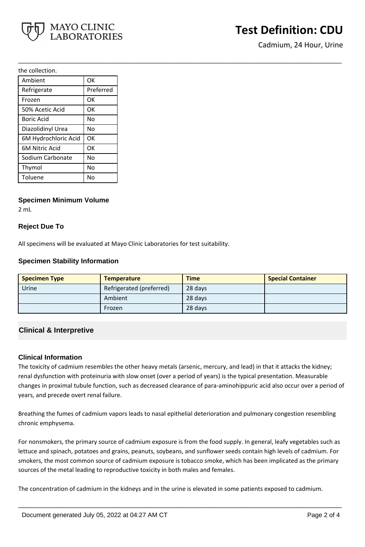

# **Test Definition: CDU**

Cadmium, 24 Hour, Urine

the collection.

| Ambient               | OK        |
|-----------------------|-----------|
| Refrigerate           | Preferred |
| Frozen                | ОК        |
| 50% Acetic Acid       | OK        |
| Boric Acid            | Nο        |
| Diazolidinyl Urea     | No        |
| 6M Hydrochloric Acid  | OK        |
| <b>6M Nitric Acid</b> | ОК        |
| Sodium Carbonate      | No        |
| Thymol                | No        |
| Toluene               | No        |

#### **Specimen Minimum Volume**

2 mL

## **Reject Due To**

All specimens will be evaluated at Mayo Clinic Laboratories for test suitability.

## **Specimen Stability Information**

| <b>Specimen Type</b> | <b>Temperature</b>       | <b>Time</b> | <b>Special Container</b> |
|----------------------|--------------------------|-------------|--------------------------|
| Urine                | Refrigerated (preferred) | 28 days     |                          |
|                      | Ambient                  | 28 days     |                          |
|                      | Frozen                   | 28 days     |                          |

**\_\_\_\_\_\_\_\_\_\_\_\_\_\_\_\_\_\_\_\_\_\_\_\_\_\_\_\_\_\_\_\_\_\_\_\_\_\_\_\_\_\_\_\_\_\_\_\_\_\_\_**

# **Clinical & Interpretive**

#### **Clinical Information**

The toxicity of cadmium resembles the other heavy metals (arsenic, mercury, and lead) in that it attacks the kidney; renal dysfunction with proteinuria with slow onset (over a period of years) is the typical presentation. Measurable changes in proximal tubule function, such as decreased clearance of para-aminohippuric acid also occur over a period of years, and precede overt renal failure.

Breathing the fumes of cadmium vapors leads to nasal epithelial deterioration and pulmonary congestion resembling chronic emphysema.

For nonsmokers, the primary source of cadmium exposure is from the food supply. In general, leafy vegetables such as lettuce and spinach, potatoes and grains, peanuts, soybeans, and sunflower seeds contain high levels of cadmium. For smokers, the most common source of cadmium exposure is tobacco smoke, which has been implicated as the primary sources of the metal leading to reproductive toxicity in both males and females.

**\_\_\_\_\_\_\_\_\_\_\_\_\_\_\_\_\_\_\_\_\_\_\_\_\_\_\_\_\_\_\_\_\_\_\_\_\_\_\_\_\_\_\_\_\_\_\_\_\_\_\_**

The concentration of cadmium in the kidneys and in the urine is elevated in some patients exposed to cadmium.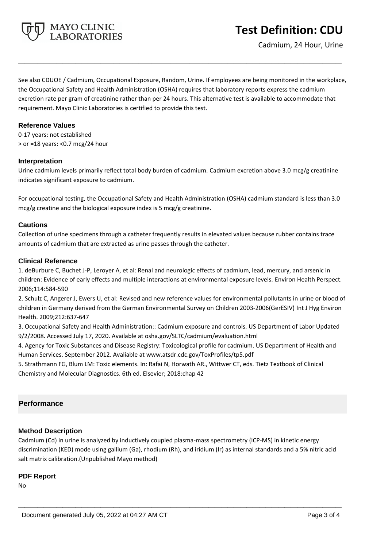

See also CDUOE / Cadmium, Occupational Exposure, Random, Urine. If employees are being monitored in the workplace, the Occupational Safety and Health Administration (OSHA) requires that laboratory reports express the cadmium excretion rate per gram of creatinine rather than per 24 hours. This alternative test is available to accommodate that requirement. Mayo Clinic Laboratories is certified to provide this test.

**\_\_\_\_\_\_\_\_\_\_\_\_\_\_\_\_\_\_\_\_\_\_\_\_\_\_\_\_\_\_\_\_\_\_\_\_\_\_\_\_\_\_\_\_\_\_\_\_\_\_\_**

#### **Reference Values**

0-17 years: not established > or =18 years: <0.7 mcg/24 hour

#### **Interpretation**

Urine cadmium levels primarily reflect total body burden of cadmium. Cadmium excretion above 3.0 mcg/g creatinine indicates significant exposure to cadmium.

For occupational testing, the Occupational Safety and Health Administration (OSHA) cadmium standard is less than 3.0 mcg/g creatine and the biological exposure index is 5 mcg/g creatinine.

## **Cautions**

Collection of urine specimens through a catheter frequently results in elevated values because rubber contains trace amounts of cadmium that are extracted as urine passes through the catheter.

## **Clinical Reference**

1. deBurbure C, Buchet J-P, Leroyer A, et al: Renal and neurologic effects of cadmium, lead, mercury, and arsenic in children: Evidence of early effects and multiple interactions at environmental exposure levels. Environ Health Perspect. 2006;114:584-590

2. Schulz C, Angerer J, Ewers U, et al: Revised and new reference values for environmental pollutants in urine or blood of children in Germany derived from the German Environmental Survey on Children 2003-2006(GerESIV) Int J Hyg Environ Health. 2009;212:637-647

3. Occupational Safety and Health Administration:: Cadmium exposure and controls. US Department of Labor Updated 9/2/2008. Accessed July 17, 2020. Available at osha.gov/SLTC/cadmium/evaluation.html

4. Agency for Toxic Substances and Disease Registry: Toxicological profile for cadmium. US Department of Health and Human Services. September 2012. Avaliable at www.atsdr.cdc.gov/ToxProfiles/tp5.pdf

5. Strathmann FG, Blum LM: Toxic elements. In: Rafai N, Horwath AR., Wittwer CT, eds. Tietz Textbook of Clinical Chemistry and Molecular Diagnostics. 6th ed. Elsevier; 2018:chap 42

# **Performance**

# **Method Description**

Cadmium (Cd) in urine is analyzed by inductively coupled plasma-mass spectrometry (ICP-MS) in kinetic energy discrimination (KED) mode using gallium (Ga), rhodium (Rh), and iridium (Ir) as internal standards and a 5% nitric acid salt matrix calibration.(Unpublished Mayo method)

**\_\_\_\_\_\_\_\_\_\_\_\_\_\_\_\_\_\_\_\_\_\_\_\_\_\_\_\_\_\_\_\_\_\_\_\_\_\_\_\_\_\_\_\_\_\_\_\_\_\_\_**

# **PDF Report**

No